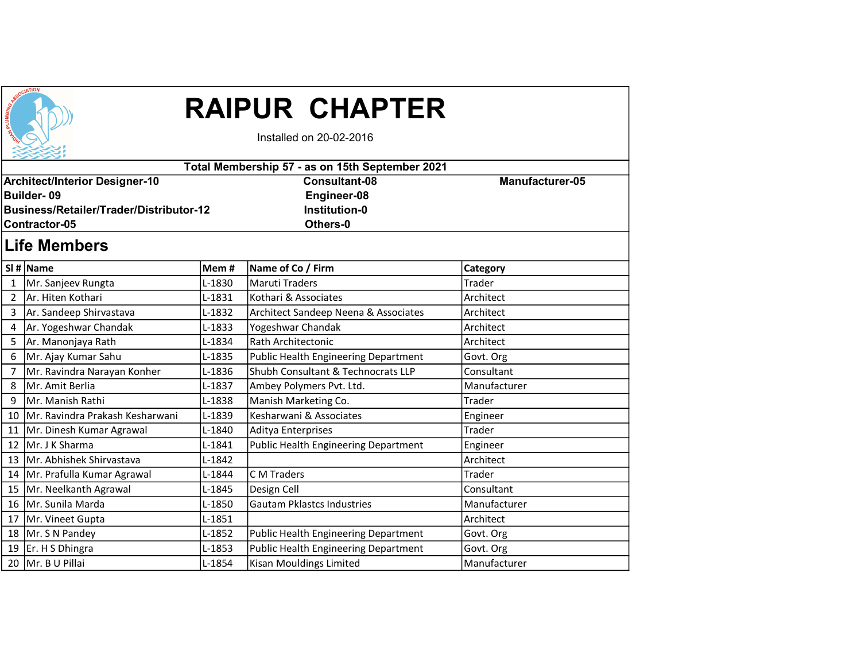| SSOCIATION |  |
|------------|--|
|            |  |

## RAIPUR CHAPTER

Installed on 20-02-2016

| Total Membership 57 - as on 15th September 2021 |                                         |          |                                             |                        |  |  |  |  |
|-------------------------------------------------|-----------------------------------------|----------|---------------------------------------------|------------------------|--|--|--|--|
|                                                 | <b>Architect/Interior Designer-10</b>   |          | <b>Consultant-08</b>                        | <b>Manufacturer-05</b> |  |  |  |  |
|                                                 | <b>Builder-09</b>                       |          | Engineer-08                                 |                        |  |  |  |  |
|                                                 | Business/Retailer/Trader/Distributor-12 |          | <b>Institution-0</b>                        |                        |  |  |  |  |
|                                                 | Others-0<br>Contractor-05               |          |                                             |                        |  |  |  |  |
|                                                 | <b>Life Members</b>                     |          |                                             |                        |  |  |  |  |
|                                                 | SI # Name                               | Mem#     | Name of Co / Firm                           | Category               |  |  |  |  |
| $\mathbf{1}$                                    | Mr. Sanjeev Rungta                      | L-1830   | <b>Maruti Traders</b>                       | Trader                 |  |  |  |  |
| $\overline{2}$                                  | lAr. Hiten Kothari                      | L-1831   | Kothari & Associates                        | Architect              |  |  |  |  |
| 3                                               | Ar. Sandeep Shirvastava                 | L-1832   | Architect Sandeep Neena & Associates        | Architect              |  |  |  |  |
| 4                                               | Ar. Yogeshwar Chandak                   | $L-1833$ | Yogeshwar Chandak                           | Architect              |  |  |  |  |
| 5                                               | Ar. Manonjaya Rath                      | L-1834   | Rath Architectonic                          | Architect              |  |  |  |  |
| 6                                               | Mr. Ajay Kumar Sahu                     | L-1835   | <b>Public Health Engineering Department</b> | Govt. Org              |  |  |  |  |
| 7                                               | Mr. Ravindra Narayan Konher             | L-1836   | Shubh Consultant & Technocrats LLP          | Consultant             |  |  |  |  |
| 8                                               | Mr. Amit Berlia                         | L-1837   | Ambey Polymers Pvt. Ltd.                    | Manufacturer           |  |  |  |  |
| 9                                               | Mr. Manish Rathi                        | L-1838   | Manish Marketing Co.                        | Trader                 |  |  |  |  |
| 10                                              | Mr. Ravindra Prakash Kesharwani         | L-1839   | Kesharwani & Associates                     | Engineer               |  |  |  |  |
| 11                                              | Mr. Dinesh Kumar Agrawal                | L-1840   | Aditya Enterprises                          | Trader                 |  |  |  |  |
| 12                                              | Mr. J K Sharma                          | $L-1841$ | <b>Public Health Engineering Department</b> | Engineer               |  |  |  |  |
| 13                                              | Mr. Abhishek Shirvastava                | L-1842   |                                             | Architect              |  |  |  |  |
|                                                 | 14   Mr. Prafulla Kumar Agrawal         | L-1844   | C M Traders                                 | Trader                 |  |  |  |  |
|                                                 | 15   Mr. Neelkanth Agrawal              | L-1845   | Design Cell                                 | Consultant             |  |  |  |  |
| 16                                              | Mr. Sunila Marda                        | L-1850   | <b>Gautam Pklastcs Industries</b>           | Manufacturer           |  |  |  |  |
|                                                 | 17 Mr. Vineet Gupta                     | L-1851   |                                             | Architect              |  |  |  |  |
|                                                 | 18   Mr. S N Pandey                     | $L-1852$ | <b>Public Health Engineering Department</b> | Govt. Org              |  |  |  |  |

19 Er. H S Dhingra **L-1853** Public Health Engineering Department Govt. Org 20 Mr. B U Pillai **L-1854** Kisan Mouldings Limited Manufacturer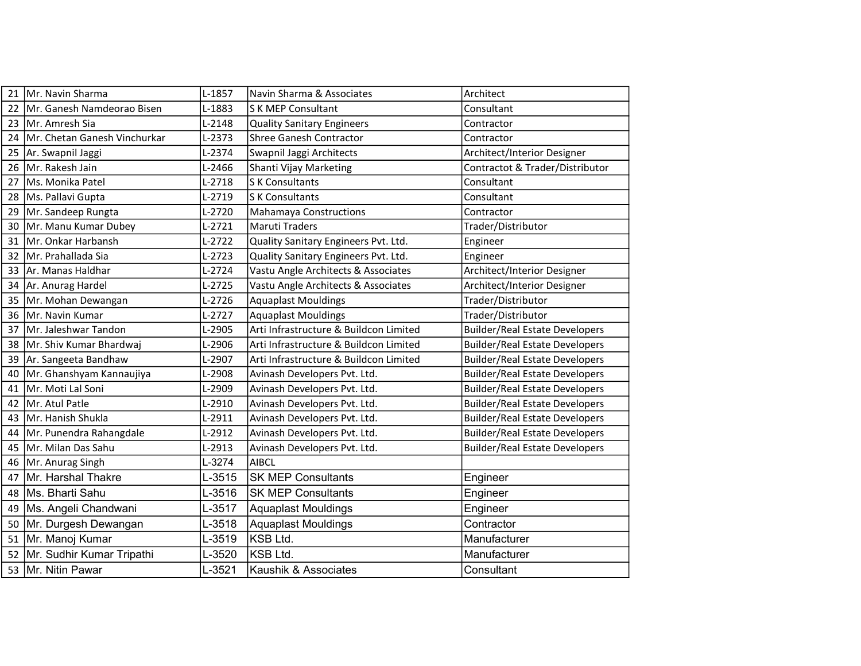| 21 | Mr. Navin Sharma             | L-1857   | Navin Sharma & Associates              | Architect                             |
|----|------------------------------|----------|----------------------------------------|---------------------------------------|
| 22 | Mr. Ganesh Namdeorao Bisen   | L-1883   | S K MEP Consultant                     | Consultant                            |
| 23 | Mr. Amresh Sia               | L-2148   | <b>Quality Sanitary Engineers</b>      | Contractor                            |
| 24 | Mr. Chetan Ganesh Vinchurkar | $L-2373$ | <b>Shree Ganesh Contractor</b>         | Contractor                            |
| 25 | Ar. Swapnil Jaggi            | L-2374   | Swapnil Jaggi Architects               | Architect/Interior Designer           |
| 26 | Mr. Rakesh Jain              | L-2466   | Shanti Vijay Marketing                 | Contractot & Trader/Distributor       |
| 27 | Ms. Monika Patel             | $L-2718$ | <b>SK Consultants</b>                  | Consultant                            |
| 28 | Ms. Pallavi Gupta            | L-2719   | <b>SK Consultants</b>                  | Consultant                            |
| 29 | Mr. Sandeep Rungta           | L-2720   | <b>Mahamaya Constructions</b>          | Contractor                            |
| 30 | Mr. Manu Kumar Dubey         | $L-2721$ | Maruti Traders                         | Trader/Distributor                    |
| 31 | Mr. Onkar Harbansh           | $L-2722$ | Quality Sanitary Engineers Pvt. Ltd.   | Engineer                              |
| 32 | Mr. Prahallada Sia           | L-2723   | Quality Sanitary Engineers Pvt. Ltd.   | Engineer                              |
| 33 | Ar. Manas Haldhar            | L-2724   | Vastu Angle Architects & Associates    | Architect/Interior Designer           |
| 34 | Ar. Anurag Hardel            | $L-2725$ | Vastu Angle Architects & Associates    | Architect/Interior Designer           |
| 35 | Mr. Mohan Dewangan           | $L-2726$ | <b>Aquaplast Mouldings</b>             | Trader/Distributor                    |
| 36 | Mr. Navin Kumar              | $L-2727$ | <b>Aquaplast Mouldings</b>             | Trader/Distributor                    |
| 37 | Mr. Jaleshwar Tandon         | L-2905   | Arti Infrastructure & Buildcon Limited | <b>Builder/Real Estate Developers</b> |
| 38 | Mr. Shiv Kumar Bhardwaj      | L-2906   | Arti Infrastructure & Buildcon Limited | <b>Builder/Real Estate Developers</b> |
| 39 | Ar. Sangeeta Bandhaw         | L-2907   | Arti Infrastructure & Buildcon Limited | <b>Builder/Real Estate Developers</b> |
| 40 | Mr. Ghanshyam Kannaujiya     | L-2908   | Avinash Developers Pvt. Ltd.           | <b>Builder/Real Estate Developers</b> |
| 41 | Mr. Moti Lal Soni            | L-2909   | Avinash Developers Pvt. Ltd.           | <b>Builder/Real Estate Developers</b> |
| 42 | Mr. Atul Patle               | L-2910   | Avinash Developers Pvt. Ltd.           | <b>Builder/Real Estate Developers</b> |
| 43 | Mr. Hanish Shukla            | $L-2911$ | Avinash Developers Pvt. Ltd.           | <b>Builder/Real Estate Developers</b> |
| 44 | Mr. Punendra Rahangdale      | L-2912   | Avinash Developers Pvt. Ltd.           | <b>Builder/Real Estate Developers</b> |
| 45 | Mr. Milan Das Sahu           | L-2913   | Avinash Developers Pvt. Ltd.           | <b>Builder/Real Estate Developers</b> |
| 46 | Mr. Anurag Singh             | L-3274   | <b>AIBCL</b>                           |                                       |
| 47 | Mr. Harshal Thakre           | L-3515   | <b>SK MEP Consultants</b>              | Engineer                              |
| 48 | Ms. Bharti Sahu              | L-3516   | <b>SK MEP Consultants</b>              | Engineer                              |
| 49 | Ms. Angeli Chandwani         | L-3517   | <b>Aquaplast Mouldings</b>             | Engineer                              |
| 50 | Mr. Durgesh Dewangan         | L-3518   | <b>Aquaplast Mouldings</b>             | Contractor                            |
| 51 | Mr. Manoj Kumar              | L-3519   | KSB Ltd.                               | Manufacturer                          |
| 52 | Mr. Sudhir Kumar Tripathi    | L-3520   | İKSB Ltd.                              | Manufacturer                          |
| 53 | Mr. Nitin Pawar              | L-3521   | Kaushik & Associates                   | Consultant                            |